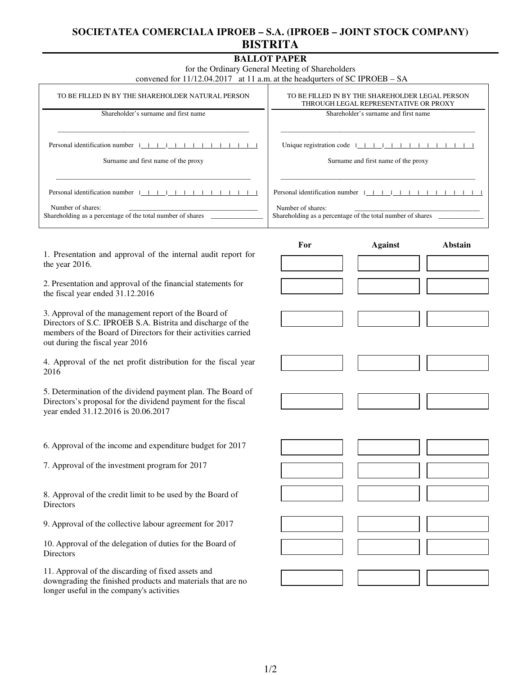## **SOCIETATEA COMERCIALA IPROEB – S.A. (IPROEB – JOINT STOCK COMPANY) BISTRITA**

## **BALLOT PAPER**

for the Ordinary General Meeting of Shareholders

convened for 11/12.04.2017 at 11 a.m. at the headqurters of SC IPROEB – SA

| TO BE FILLED IN BY THE SHAREHOLDER NATURAL PERSON          | TO BE FILLED IN BY THE SHAREHOLDER LEGAL PERSON<br>THROUGH LEGAL REPRESENTATIVE OR PROXY |  |
|------------------------------------------------------------|------------------------------------------------------------------------------------------|--|
| Shareholder's surname and first name                       | Shareholder's surname and first name                                                     |  |
| Personal identification number $ $                         |                                                                                          |  |
| Surname and first name of the proxy                        | Surname and first name of the proxy                                                      |  |
| Personal identification number $ $                         | Personal identification number                                                           |  |
| Number of shares:                                          | Number of shares:                                                                        |  |
| Shareholding as a percentage of the total number of shares | Shareholding as a percentage of the total number of shares                               |  |

1. Presentation and approval of the internal audit report for the year 2016.

2. Presentation and approval of the financial statements for the fiscal year ended 31.12.2016

3. Approval of the management report of the Board of Directors of S.C. IPROEB S.A. Bistrita and discharge of the members of the Board of Directors for their activities carried out during the fiscal year 2016

4. Approval of the net profit distribution for the fiscal year 2016

5. Determination of the dividend payment plan. The Board of Directors's proposal for the dividend payment for the fiscal year ended 31.12.2016 is 20.06.2017

6. Approval of the income and expenditure budget for 2017

7. Approval of the investment program for 2017

8. Approval of the credit limit to be used by the Board of **Directors** 

9. Approval of the collective labour agreement for 2017

10. Approval of the delegation of duties for the Board of **Directors** 

11. Approval of the discarding of fixed assets and downgrading the finished products and materials that are no longer useful in the company's activities

| Against | Abstain |
|---------|---------|
|         |         |
|         |         |
|         |         |
|         |         |
|         |         |
|         |         |
|         |         |
|         |         |
|         |         |
|         |         |
|         |         |
|         |         |
|         |         |
|         |         |
|         |         |
|         |         |
|         |         |
|         |         |
|         |         |